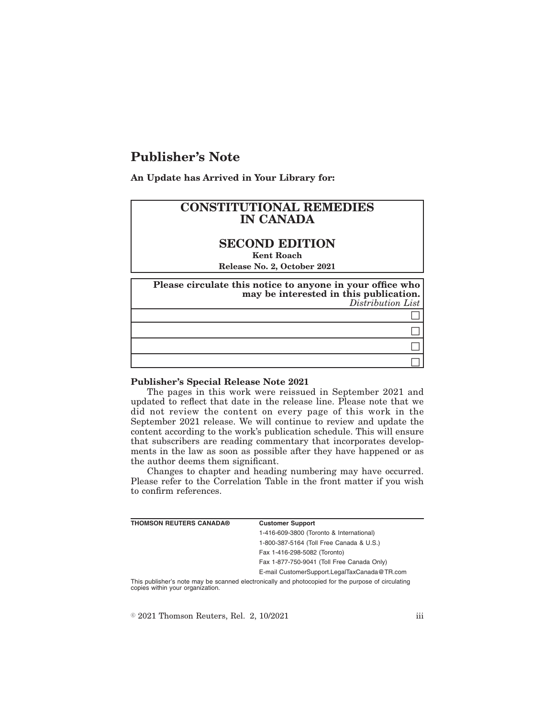# **Publisher's Note**

**An Update has Arrived in Your Library for:**

## **CONSTITUTIONAL REMEDIES IN CANADA**

## **SECOND EDITION**

**Kent Roach**

**Release No. 2, October 2021**

| Please circulate this notice to anyone in your office who<br>may be interested in this publication.<br>Distribution List |
|--------------------------------------------------------------------------------------------------------------------------|
|                                                                                                                          |
|                                                                                                                          |
|                                                                                                                          |
|                                                                                                                          |

#### **Publisher's Special Release Note 2021**

The pages in this work were reissued in September 2021 and updated to reflect that date in the release line. Please note that we did not review the content on every page of this work in the September 2021 release. We will continue to review and update the content according to the work's publication schedule. This will ensure that subscribers are reading commentary that incorporates developments in the law as soon as possible after they have happened or as the author deems them significant.

Changes to chapter and heading numbering may have occurred. Please refer to the Correlation Table in the front matter if you wish to confirm references.

| <b>THOMSON REUTERS CANADA®</b> | <b>Customer Support</b>                      |
|--------------------------------|----------------------------------------------|
|                                | 1-416-609-3800 (Toronto & International)     |
|                                | 1-800-387-5164 (Toll Free Canada & U.S.)     |
|                                | Fax 1-416-298-5082 (Toronto)                 |
|                                | Fax 1-877-750-9041 (Toll Free Canada Only)   |
|                                | E-mail CustomerSupport.LegalTaxCanada@TR.com |
|                                |                                              |

This publisher's note may be scanned electronically and photocopied for the purpose of circulating copies within your organization.

 $\textdegree$  2021 Thomson Reuters, Rel. 2, 10/2021 iii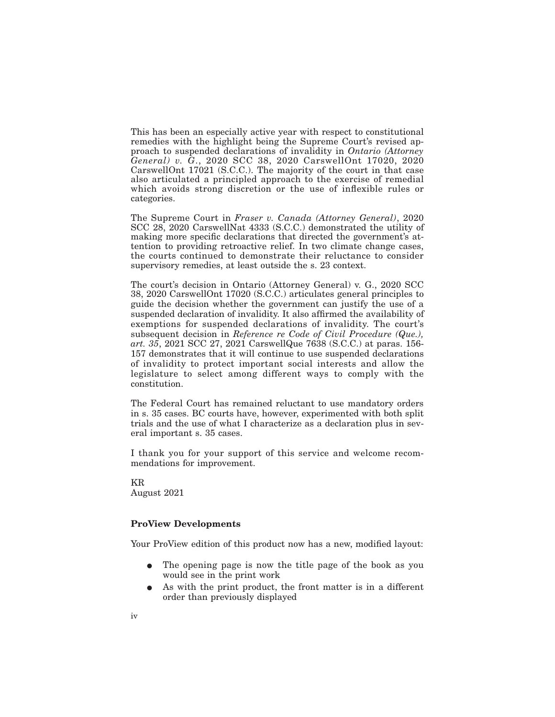This has been an especially active year with respect to constitutional remedies with the highlight being the Supreme Court's revised approach to suspended declarations of invalidity in *Ontario (Attorney General) v. G*., 2020 SCC 38, 2020 CarswellOnt 17020, 2020 CarswellOnt 17021 (S.C.C.). The majority of the court in that case also articulated a principled approach to the exercise of remedial which avoids strong discretion or the use of inflexible rules or categories.

The Supreme Court in *Fraser v. Canada (Attorney General)*, 2020 SCC 28, 2020 CarswellNat 4333 (S.C.C.) demonstrated the utility of making more specific declarations that directed the government's attention to providing retroactive relief. In two climate change cases, the courts continued to demonstrate their reluctance to consider supervisory remedies, at least outside the s. 23 context.

The court's decision in Ontario (Attorney General) v. G., 2020 SCC 38, 2020 CarswellOnt 17020 (S.C.C.) articulates general principles to guide the decision whether the government can justify the use of a suspended declaration of invalidity. It also affirmed the availability of exemptions for suspended declarations of invalidity. The court's subsequent decision in *Reference re Code of Civil Procedure (Que.)*, *art. 35*, 2021 SCC 27, 2021 CarswellQue 7638 (S.C.C.) at paras. 156- 157 demonstrates that it will continue to use suspended declarations of invalidity to protect important social interests and allow the legislature to select among different ways to comply with the constitution.

The Federal Court has remained reluctant to use mandatory orders in s. 35 cases. BC courts have, however, experimented with both split trials and the use of what I characterize as a declaration plus in several important s. 35 cases.

I thank you for your support of this service and welcome recommendations for improvement.

KR August 2021

### **ProView Developments**

Your ProView edition of this product now has a new, modified layout:

- The opening page is now the title page of the book as you would see in the print work
- As with the print product, the front matter is in a different order than previously displayed